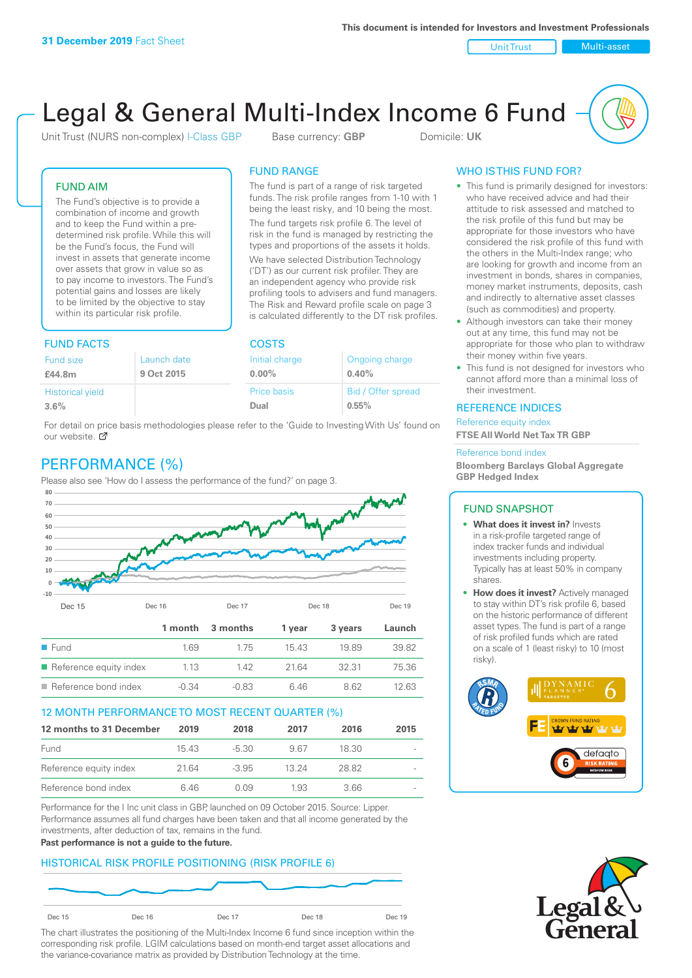Unit Trust Nulti-asset

# Legal & General Multi-Index Income 6 Fund

Unit Trust (NURS non-complex) I-Class GBP Base currency: **GBP** Domicile: UK

The fund is part of a range of risk targeted funds. The risk profile ranges from 1-10 with 1 being the least risky, and 10 being the most. The fund targets risk profile 6. The level of risk in the fund is managed by restricting the types and proportions of the assets it holds. We have selected Distribution Technology ('DT') as our current risk profiler. They are an independent agency who provide risk profiling tools to advisers and fund managers. The Risk and Reward profile scale on page 3 is calculated differently to the DT risk profiles.

FUND RANGE

## FUND AIM

The Fund's objective is to provide a combination of income and growth and to keep the Fund within a predetermined risk profile. While this will be the Fund's focus, the Fund will invest in assets that generate income over assets that grow in value so as to pay income to investors. The Fund's potential gains and losses are likely to be limited by the objective to stay within its particular risk profile.

## FUND FACTS COSTS

| Fund size               | Launch date | Initial charge | Ongoing charge     |  |  |
|-------------------------|-------------|----------------|--------------------|--|--|
| £44.8m                  | 9 Oct 2015  | $0.00\%$       | 0.40%              |  |  |
| <b>Historical yield</b> |             | Price basis    | Bid / Offer spread |  |  |
| 3.6%                    |             | Dual           | 0.55%              |  |  |

For detail on price basis methodologies please refer to the 'Guide to Investing With Us' found on our website. Ø

# PERFORMANCE (%)

Please also see 'How do I assess the performance of the fund?' on page 3.



## 12 MONTH PERFORMANCE TO MOST RECENT QUARTER (%)

| 12 months to 31 December | 2019  | 2018    | 2017  | 2016  | 2015                     |
|--------------------------|-------|---------|-------|-------|--------------------------|
| Fund                     | 15.43 | -5.30   | 967   | 18.30 | $\qquad \qquad$          |
| Reference equity index   | 2164  | $-3.95$ | 13 24 | 28.82 | $\overline{\phantom{a}}$ |
| Reference bond index     | 6 46  | O 0.9   | 1.93  | 3.66  | $\overline{\phantom{a}}$ |

Performance for the I Inc unit class in GBP, launched on 09 October 2015. Source: Lipper. Performance assumes all fund charges have been taken and that all income generated by the investments, after deduction of tax, remains in the fund.

#### **Past performance is not a guide to the future.**

## HISTORICAL RISK PROFILE POSITIONING (RISK PROFILE 6)



The chart illustrates the positioning of the Multi-Index Income 6 fund since inception within the corresponding risk profile. LGIM calculations based on month-end target asset allocations and the variance-covariance matrix as provided by Distribution Technology at the time.

## WHO IS THIS FUND FOR?

- This fund is primarily designed for investors: who have received advice and had their attitude to risk assessed and matched to the risk profile of this fund but may be appropriate for those investors who have considered the risk profile of this fund with the others in the Multi-Index range; who are looking for growth and income from an investment in bonds, shares in companies, money market instruments, deposits, cash and indirectly to alternative asset classes (such as commodities) and property.
- Although investors can take their money out at any time, this fund may not be appropriate for those who plan to withdraw their money within five years.
- This fund is not designed for investors who cannot afford more than a minimal loss of their investment.

## REFERENCE INDICES

Reference equity index **FTSE All World Net Tax TR GBP**

#### Reference bond index

**Bloomberg Barclays Global Aggregate GBP Hedged Index**

## FUND SNAPSHOT

- **• What does it invest in?** Invests in a risk-profile targeted range of index tracker funds and individual investments including property. Typically has at least 50% in company shares.
- **• How does it invest?** Actively managed to stay within DT's risk profile 6, based on the historic performance of different asset types. The fund is part of a range of risk profiled funds which are rated on a scale of 1 (least risky) to 10 (most risky).



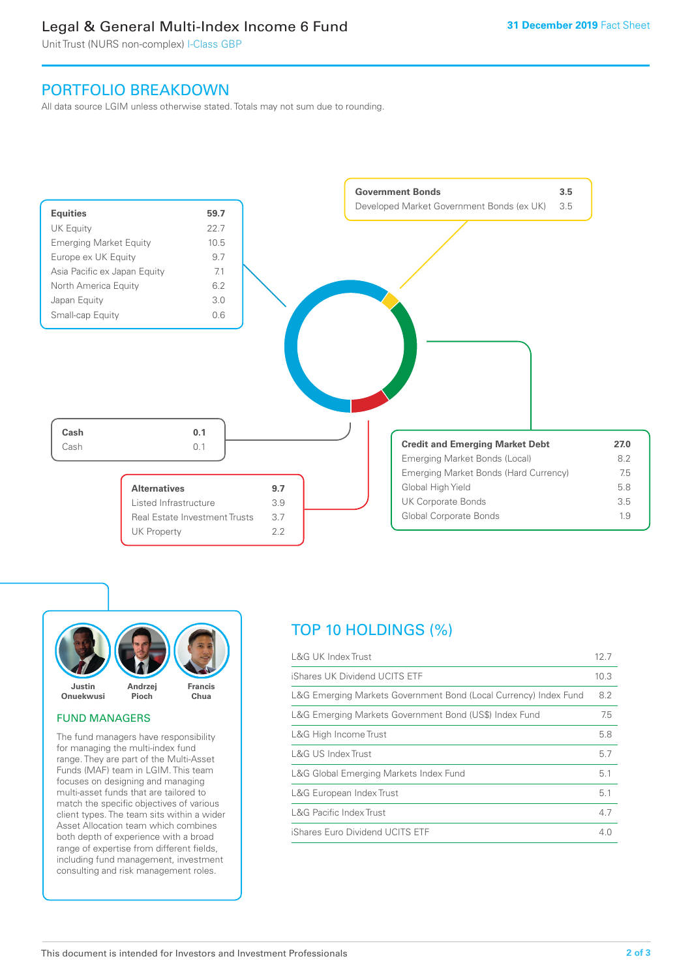# Legal & General Multi-Index Income 6 Fund

Unit Trust (NURS non-complex) I-Class GBP

# PORTFOLIO BREAKDOWN

All data source LGIM unless otherwise stated. Totals may not sum due to rounding.





## FUND MANAGERS

The fund managers have responsibility for managing the multi-index fund range. They are part of the Multi-Asset Funds (MAF) team in LGIM. This team focuses on designing and managing multi-asset funds that are tailored to match the specific objectives of various client types. The team sits within a wider Asset Allocation team which combines both depth of experience with a broad range of expertise from different fields, including fund management, investment consulting and risk management roles.

# TOP 10 HOLDINGS (%)

| <b>L&amp;G UK Index Trust</b>                                    | 12.7 |
|------------------------------------------------------------------|------|
| iShares UK Dividend UCITS ETF                                    | 10.3 |
| L&G Emerging Markets Government Bond (Local Currency) Index Fund | 8.2  |
| L&G Emerging Markets Government Bond (US\$) Index Fund           | 7.5  |
| L&G High Income Trust                                            | 5.8  |
| L&G US Index Trust                                               | 5.7  |
| L&G Global Emerging Markets Index Fund                           | 5.1  |
| L&G European Index Trust                                         | 5.1  |
| <b>L&amp;G Pacific Index Trust</b>                               | 4.7  |
| iShares Euro Dividend UCITS ETF                                  | 4.0  |